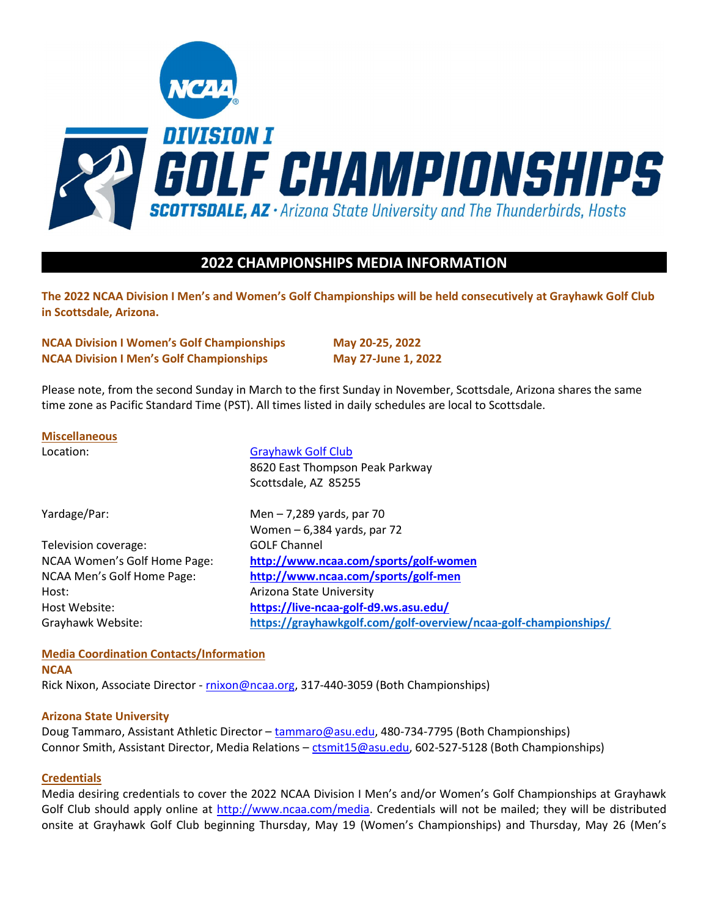

# 2022 CHAMPIONSHIPS MEDIA INFORMATION

The 2022 NCAA Division I Men's and Women's Golf Championships will be held consecutively at Grayhawk Golf Club in Scottsdale, Arizona.

NCAA Division I Women's Golf Championships May 20-25, 2022 NCAA Division I Men's Golf Championships May 27-June 1, 2022

Please note, from the second Sunday in March to the first Sunday in November, Scottsdale, Arizona shares the same time zone as Pacific Standard Time (PST). All times listed in daily schedules are local to Scottsdale.

## Miscellaneous

| Location:                    | <b>Grayhawk Golf Club</b><br>8620 East Thompson Peak Parkway<br>Scottsdale, AZ 85255 |
|------------------------------|--------------------------------------------------------------------------------------|
| Yardage/Par:                 | Men $-7,289$ yards, par 70                                                           |
|                              | Women $-6,384$ yards, par 72                                                         |
| Television coverage:         | <b>GOLF Channel</b>                                                                  |
| NCAA Women's Golf Home Page: | http://www.ncaa.com/sports/golf-women                                                |
| NCAA Men's Golf Home Page:   | http://www.ncaa.com/sports/golf-men                                                  |
| Host:                        | Arizona State University                                                             |
| Host Website:                | https://live-ncaa-golf-d9.ws.asu.edu/                                                |
| Grayhawk Website:            | https://grayhawkgolf.com/golf-overview/ncaa-golf-championships/                      |

## Media Coordination Contacts/Information

## **NCAA**

Rick Nixon, Associate Director - rnixon@ncaa.org, 317-440-3059 (Both Championships)

#### Arizona State University

Doug Tammaro, Assistant Athletic Director – tammaro@asu.edu, 480-734-7795 (Both Championships) Connor Smith, Assistant Director, Media Relations – ctsmit15@asu.edu, 602-527-5128 (Both Championships)

#### **Credentials**

Media desiring credentials to cover the 2022 NCAA Division I Men's and/or Women's Golf Championships at Grayhawk Golf Club should apply online at http://www.ncaa.com/media. Credentials will not be mailed; they will be distributed onsite at Grayhawk Golf Club beginning Thursday, May 19 (Women's Championships) and Thursday, May 26 (Men's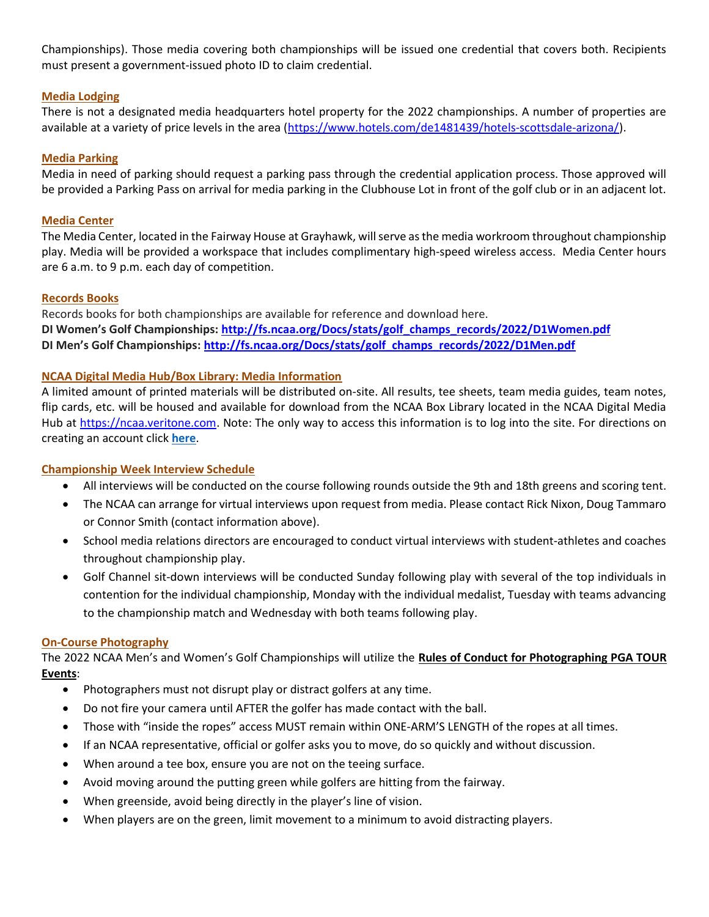Championships). Those media covering both championships will be issued one credential that covers both. Recipients must present a government-issued photo ID to claim credential.

## Media Lodging

There is not a designated media headquarters hotel property for the 2022 championships. A number of properties are available at a variety of price levels in the area (https://www.hotels.com/de1481439/hotels-scottsdale-arizona/).

## Media Parking

Media in need of parking should request a parking pass through the credential application process. Those approved will be provided a Parking Pass on arrival for media parking in the Clubhouse Lot in front of the golf club or in an adjacent lot.

## Media Center

The Media Center, located in the Fairway House at Grayhawk, will serve as the media workroom throughout championship play. Media will be provided a workspace that includes complimentary high-speed wireless access. Media Center hours are 6 a.m. to 9 p.m. each day of competition.

## Records Books

Records books for both championships are available for reference and download here. DI Women's Golf Championships: http://fs.ncaa.org/Docs/stats/golf\_champs\_records/2022/D1Women.pdf DI Men's Golf Championships: http://fs.ncaa.org/Docs/stats/golf\_champs\_records/2022/D1Men.pdf

## NCAA Digital Media Hub/Box Library: Media Information

A limited amount of printed materials will be distributed on-site. All results, tee sheets, team media guides, team notes, flip cards, etc. will be housed and available for download from the NCAA Box Library located in the NCAA Digital Media Hub at https://ncaa.veritone.com. Note: The only way to access this information is to log into the site. For directions on creating an account click here.

## Championship Week Interview Schedule

- All interviews will be conducted on the course following rounds outside the 9th and 18th greens and scoring tent.
- The NCAA can arrange for virtual interviews upon request from media. Please contact Rick Nixon, Doug Tammaro or Connor Smith (contact information above).
- School media relations directors are encouraged to conduct virtual interviews with student-athletes and coaches throughout championship play.
- Golf Channel sit-down interviews will be conducted Sunday following play with several of the top individuals in contention for the individual championship, Monday with the individual medalist, Tuesday with teams advancing to the championship match and Wednesday with both teams following play.

#### On-Course Photography

The 2022 NCAA Men's and Women's Golf Championships will utilize the Rules of Conduct for Photographing PGA TOUR Events:

- Photographers must not disrupt play or distract golfers at any time.
- Do not fire your camera until AFTER the golfer has made contact with the ball.
- Those with "inside the ropes" access MUST remain within ONE-ARM'S LENGTH of the ropes at all times.
- If an NCAA representative, official or golfer asks you to move, do so quickly and without discussion.
- When around a tee box, ensure you are not on the teeing surface.
- Avoid moving around the putting green while golfers are hitting from the fairway.
- When greenside, avoid being directly in the player's line of vision.
- When players are on the green, limit movement to a minimum to avoid distracting players.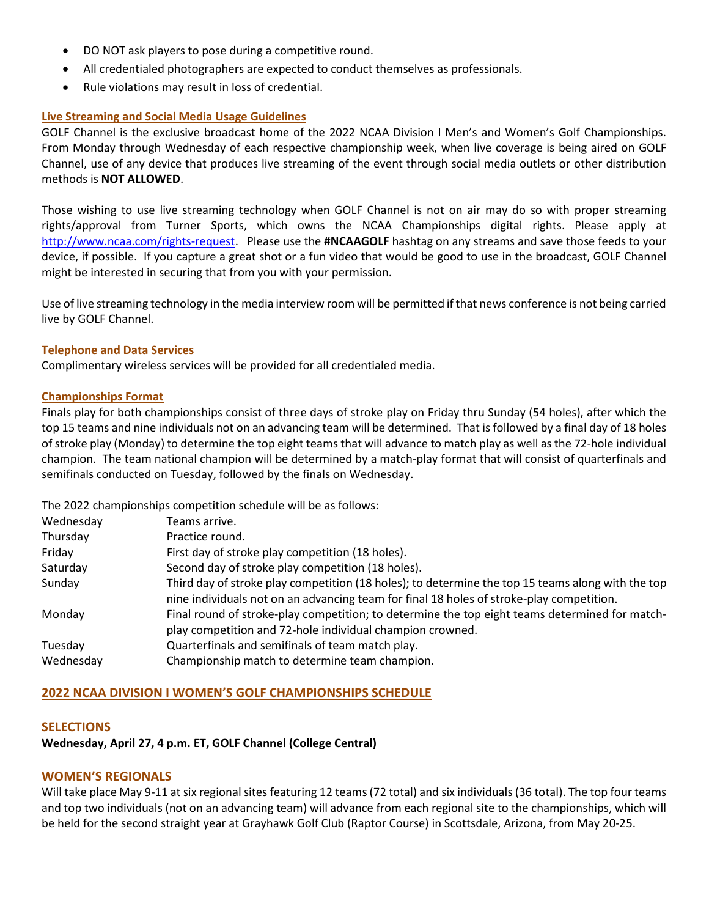- DO NOT ask players to pose during a competitive round.
- All credentialed photographers are expected to conduct themselves as professionals.
- Rule violations may result in loss of credential.

## Live Streaming and Social Media Usage Guidelines

GOLF Channel is the exclusive broadcast home of the 2022 NCAA Division I Men's and Women's Golf Championships. From Monday through Wednesday of each respective championship week, when live coverage is being aired on GOLF Channel, use of any device that produces live streaming of the event through social media outlets or other distribution methods is NOT ALLOWED.

Those wishing to use live streaming technology when GOLF Channel is not on air may do so with proper streaming rights/approval from Turner Sports, which owns the NCAA Championships digital rights. Please apply at http://www.ncaa.com/rights-request. Please use the #NCAAGOLF hashtag on any streams and save those feeds to your device, if possible. If you capture a great shot or a fun video that would be good to use in the broadcast, GOLF Channel might be interested in securing that from you with your permission.

Use of live streaming technology in the media interview room will be permitted if that news conference is not being carried live by GOLF Channel.

## Telephone and Data Services

Complimentary wireless services will be provided for all credentialed media.

## Championships Format

Finals play for both championships consist of three days of stroke play on Friday thru Sunday (54 holes), after which the top 15 teams and nine individuals not on an advancing team will be determined. That is followed by a final day of 18 holes of stroke play (Monday) to determine the top eight teams that will advance to match play as well as the 72-hole individual champion. The team national champion will be determined by a match-play format that will consist of quarterfinals and semifinals conducted on Tuesday, followed by the finals on Wednesday.

The 2022 championships competition schedule will be as follows:

| Wednesday | Teams arrive.                                                                                                                                                                                 |
|-----------|-----------------------------------------------------------------------------------------------------------------------------------------------------------------------------------------------|
| Thursday  | Practice round.                                                                                                                                                                               |
| Friday    | First day of stroke play competition (18 holes).                                                                                                                                              |
| Saturday  | Second day of stroke play competition (18 holes).                                                                                                                                             |
| Sunday    | Third day of stroke play competition (18 holes); to determine the top 15 teams along with the top<br>nine individuals not on an advancing team for final 18 holes of stroke-play competition. |
| Monday    | Final round of stroke-play competition; to determine the top eight teams determined for match-<br>play competition and 72-hole individual champion crowned.                                   |
| Tuesday   | Quarterfinals and semifinals of team match play.                                                                                                                                              |
| Wednesday | Championship match to determine team champion.                                                                                                                                                |

## 2022 NCAA DIVISION I WOMEN'S GOLF CHAMPIONSHIPS SCHEDULE

## **SELECTIONS**

# Wednesday, April 27, 4 p.m. ET, GOLF Channel (College Central)

## WOMEN'S REGIONALS

Will take place May 9-11 at six regional sites featuring 12 teams (72 total) and six individuals (36 total). The top four teams and top two individuals (not on an advancing team) will advance from each regional site to the championships, which will be held for the second straight year at Grayhawk Golf Club (Raptor Course) in Scottsdale, Arizona, from May 20-25.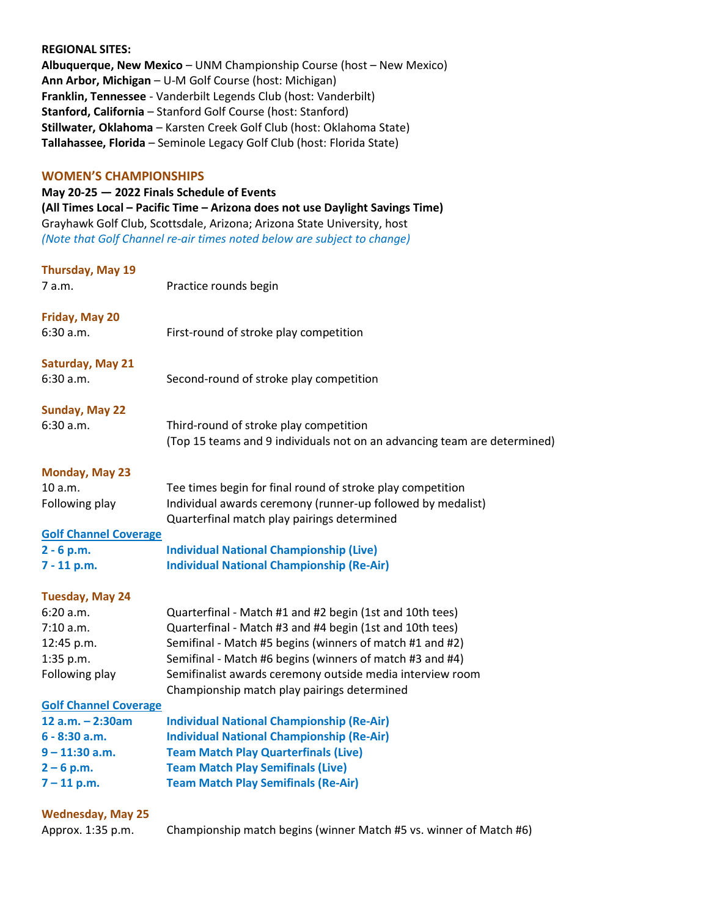#### REGIONAL SITES:

Albuquerque, New Mexico – UNM Championship Course (host – New Mexico) Ann Arbor, Michigan – U-M Golf Course (host: Michigan) Franklin, Tennessee - Vanderbilt Legends Club (host: Vanderbilt) Stanford, California – Stanford Golf Course (host: Stanford) Stillwater, Oklahoma – Karsten Creek Golf Club (host: Oklahoma State) Tallahassee, Florida – Seminole Legacy Golf Club (host: Florida State)

#### WOMEN'S CHAMPIONSHIPS

May 20-25 — 2022 Finals Schedule of Events (All Times Local – Pacific Time – Arizona does not use Daylight Savings Time) Grayhawk Golf Club, Scottsdale, Arizona; Arizona State University, host (Note that Golf Channel re-air times noted below are subject to change)

#### Thursday, May 19

7 a.m. Practice rounds begin

Friday, May 20

6:30 a.m. First-round of stroke play competition

Saturday, May 21

6:30 a.m. Second-round of stroke play competition

#### Sunday, May 22

6:30 a.m. Third-round of stroke play competition (Top 15 teams and 9 individuals not on an advancing team are determined)

### Monday, May 23

| 10 a.m.        | Tee times begin for final round of stroke play competition  |
|----------------|-------------------------------------------------------------|
| Following play | Individual awards ceremony (runner-up followed by medalist) |
|                | Quarterfinal match play pairings determined                 |

#### Golf Channel Coverage

| 2 - 6 p.m.  | <b>Individual National Championship (Live)</b>   |
|-------------|--------------------------------------------------|
| 7 - 11 p.m. | <b>Individual National Championship (Re-Air)</b> |

#### Tuesday, May 24

| 6:20 a.m.      | Quarterfinal - Match #1 and #2 begin (1st and 10th tees)  |
|----------------|-----------------------------------------------------------|
| 7:10 a.m.      | Quarterfinal - Match #3 and #4 begin (1st and 10th tees)  |
| 12:45 p.m.     | Semifinal - Match #5 begins (winners of match #1 and #2)  |
| $1:35$ p.m.    | Semifinal - Match #6 begins (winners of match #3 and #4)  |
| Following play | Semifinalist awards ceremony outside media interview room |
|                | Championship match play pairings determined               |

## Golf Channel Coverage

| $12 a.m. - 2:30am$ | <b>Individual National Championship (Re-Air)</b> |
|--------------------|--------------------------------------------------|
| $6 - 8:30$ a.m.    | <b>Individual National Championship (Re-Air)</b> |
| $9 - 11:30$ a.m.   | <b>Team Match Play Quarterfinals (Live)</b>      |
| $2 - 6$ p.m.       | <b>Team Match Play Semifinals (Live)</b>         |
| $7 - 11$ p.m.      | <b>Team Match Play Semifinals (Re-Air)</b>       |

## Wednesday, May 25

| Approx. 1:35 p.m. |  | Champi |  |
|-------------------|--|--------|--|

onship match begins (winner Match #5 vs. winner of Match #6)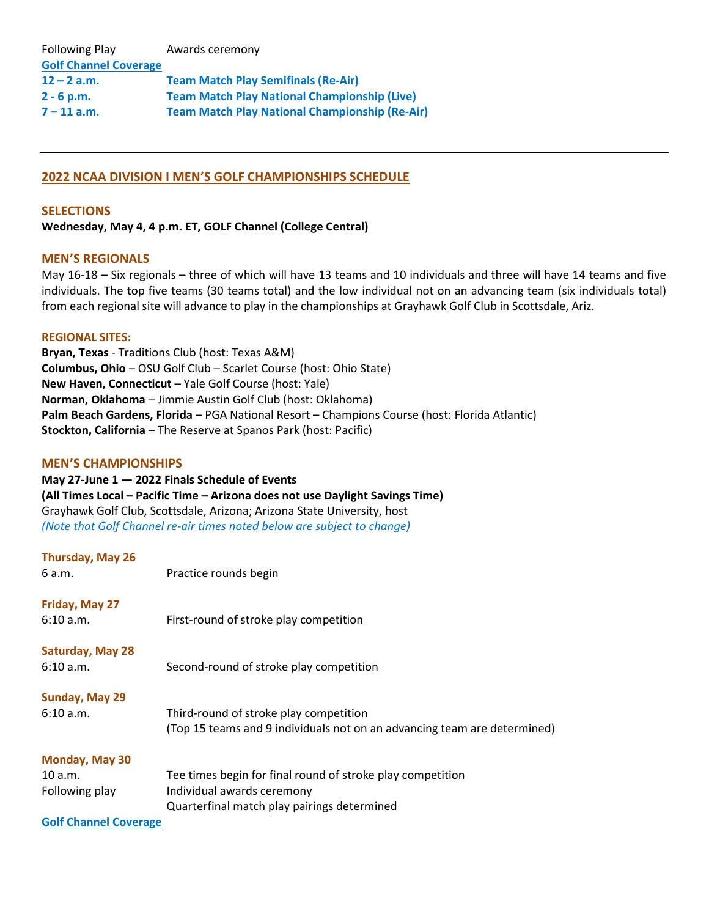| <b>Following Play</b>        | Awards ceremony                                       |
|------------------------------|-------------------------------------------------------|
| <b>Golf Channel Coverage</b> |                                                       |
| $12 - 2$ a.m.                | <b>Team Match Play Semifinals (Re-Air)</b>            |
| $2 - 6 p.m.$                 | <b>Team Match Play National Championship (Live)</b>   |
| $7 - 11$ a.m.                | <b>Team Match Play National Championship (Re-Air)</b> |

## 2022 NCAA DIVISION I MEN'S GOLF CHAMPIONSHIPS SCHEDULE

## **SELECTIONS**

## Wednesday, May 4, 4 p.m. ET, GOLF Channel (College Central)

## MEN'S REGIONALS

May 16-18 – Six regionals – three of which will have 13 teams and 10 individuals and three will have 14 teams and five individuals. The top five teams (30 teams total) and the low individual not on an advancing team (six individuals total) from each regional site will advance to play in the championships at Grayhawk Golf Club in Scottsdale, Ariz.

#### REGIONAL SITES:

Bryan, Texas - Traditions Club (host: Texas A&M) Columbus, Ohio – OSU Golf Club – Scarlet Course (host: Ohio State) New Haven, Connecticut – Yale Golf Course (host: Yale) Norman, Oklahoma – Jimmie Austin Golf Club (host: Oklahoma) Palm Beach Gardens, Florida – PGA National Resort – Champions Course (host: Florida Atlantic) Stockton, California – The Reserve at Spanos Park (host: Pacific)

### MEN'S CHAMPIONSHIPS

## May 27-June 1 — 2022 Finals Schedule of Events (All Times Local – Pacific Time – Arizona does not use Daylight Savings Time) Grayhawk Golf Club, Scottsdale, Arizona; Arizona State University, host (Note that Golf Channel re-air times noted below are subject to change)

## Thursday, May 26

| 6 a.m.           | Practice rounds begin                                                    |
|------------------|--------------------------------------------------------------------------|
| Friday, May 27   |                                                                          |
| 6:10 a.m.        | First-round of stroke play competition                                   |
| Saturday, May 28 |                                                                          |
| 6:10 a.m.        | Second-round of stroke play competition                                  |
| Sunday, May 29   |                                                                          |
| 6:10 a.m.        | Third-round of stroke play competition                                   |
|                  | (Top 15 teams and 9 individuals not on an advancing team are determined) |
| Monday, May 30   |                                                                          |
| 10 a.m.          | Tee times begin for final round of stroke play competition               |
| Following play   | Individual awards ceremony                                               |
|                  | Quarterfinal match play pairings determined                              |

Golf Channel Coverage